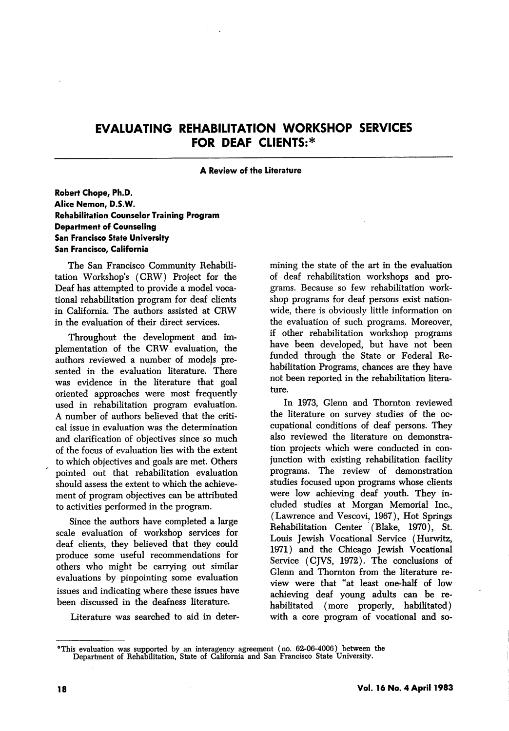# EVALUATING REHABILITATION WORKSHOP SERVICES FOR DEAF CLIENTS:\*

#### A Review of the Literature

### Robert Chope, Ph.D. Alice Nemon, D.S.W. Rehabilitation Counselor Training Program Department of Counseling San Francisco State University San Francisco, California

The San Francisco Community Rehabili tation Workshop's (CRW) Project for the Deaf has attempted to provide a model voca tional rehabilitation program for deaf clients in California. The authors assisted at CRW in the evaluation of their direct services.

Throughout the development and im plementation of the CRW evaluation, the authors reviewed a number of models pre sented in the evaluation literature. There was evidence in the literature that goal oriented approaches were most frequently used in rehabilitation program evaluation. A number of authors believed that the criti cal issue in evaluation was the determination and clarification of objectives since so much of the focus of evaluation lies with the extent to which objectives and goals are met. Others pointed out that rehabilitation evaluation should assess the extent to which the achieve ment of program objectives can be attributed to activities performed in the program.

Since the authors have completed a large scale evaluation of workshop services for deaf clients, they believed that they could produce some useful recommendations for others who might be carrying out similar evaluations by pinpointing some evaluation issues and indicating where these issues have been discussed in the deafness literature.

Literature was searched to aid in deter

mining the state of the art in the evaluation of deaf rehabilitation workshops and pro grams. Because so few rehabilitation work shop programs for deaf persons exist nation wide, there is obviously little information on the evaluation of such programs. Moreover, if other rehabilitation workshop programs have been developed, but have not been funded through the State or Federal Re habilitation Programs, chances are they have not been reported in the rehabilitation litera ture.

In 1973, Glenn and Thornton reviewed the literature on survey studies of the oc cupational conditions of deaf persons. They also reviewed the literature on demonstra tion projects which were conducted in con junction with existing rehabilitation facility programs. The review of demonstration studies focused upon programs whose clients were low achieving deaf youth. They in cluded studies at Morgan Memorial Inc., (Lawrence and Vescovi, 1967), Hot Springs Rehabilitation Center (Blake, 1970), St. Louis Jewish Vocational Service (Hurwitz, 1971) and the Chicago Jewish Vocational Service (CJVS, 1972). The conclusions of Clenn and Thornton from the literature re view were that "at least one-half of low achieving deaf young adults can be re habilitated (more properly, habilitated) with a core program of vocational and so-

<sup>\*</sup>This evaluation was supported by an interagency agreement (no. 62-06-4006) between the Department of Rehabilitation, State of California and San Francisco State University.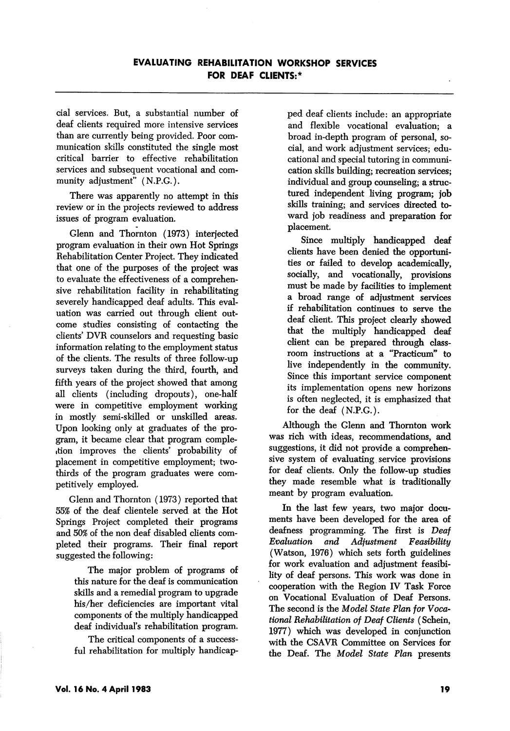cial services. But, a substantial number of deaf clients required more intensive services than are currently being provided. Poor com munication skills constituted the single most critical barrier to effective rehabilitation services and subsequent vocational and com munity adjustment" (N.P.G.).

There was apparently no attempt in this review or in the projects reviewed to address issues of program evaluation.

Glenn and Thornton (1973) interjected program evaluation in their own Hot Springs Rehabilitation Center Project. They indicated that one of the purposes of the project was to evaluate the effectiveness of a comprehen sive rehabilitation facility in rehabilitating severely handicapped deaf adults. This eval uation was carried out through client out come studies consisting of contacting the clients' DVR counselors and requesting basic information relating to the employment status of the clients. The results of three follow-up surveys taken during the third, fourth, and fifth years of the project showed that among all clients (including dropouts), one-half were in competitive employment working in mostly semi-skilled or unskilled areas. Upon looking only at graduates of the pro gram, it became clear that program compleition improves the clients' probability of placement in competitive employment; twothirds of the program graduates were com petitively employed.

Glenn and Thornton (1973) reported that 55% of the deaf clientele served at the Hot Springs Project completed their programs and 50% of the non deaf disabled clients com pleted their programs. Their final report suggested the following:

The major problem of programs of this nature for the deaf is communication skills and a remedial program to upgrade his/her deficiencies are important vital components of the multiply handicapped deaf individual's rehabilitation program.

The critical components of a success ful rehabilitation for multiply handicap ped deaf clients include: an appropriate and flexible vocational evaluation; a broad in-depth program of personal, so cial, and work adjustment services; edu cational and special tutoring in communi cation skills building; recreation services; individual and group counseling; a structured independent living program; job skills training; and services directed to ward job readiness and preparation for placement.

Since multiply handicapped deaf clients have been denied the opportuni ties or failed to develop academically, socially, and vocationally, provisions must be made by facilities to implement a broad range of adjustment services if rehabilitation continues to serve the deaf client. This project clearly showed that the multiply handicapped deaf client can be prepared through class room instructions at a "Practicum'' to live independently in the community. Since this important service component its implementation opens new horizons is often neglected, it is emphasized that for the deaf (N.P.G.).

Although the Glenn and Thornton work was rich with ideas, recommendations, and suggestions, it did not provide a comprehen sive system of evaluating service provisions for deaf clients. Only the follow-up studies they made resemble what is traditionally meant by program evaluation.

In the last few years, two major docu ments have been developed for the area of deafness programming. The first is Deaf Evaluation and Adjustment Feasibility (Watson, 1976) which sets forth guidelines for work evaluation and adjustment feasibi lity of deaf persons. This work was done in cooperation with the Region IV Task Force on Vocational Evaluation of Deaf Persons. The second is the Model State Plan for Voca tional Rehabilitation of Deaf Clients (Schein, 1977) which was developed in conjunction with the CSAVR Committee on Services for the Deaf. The Model State Plan presents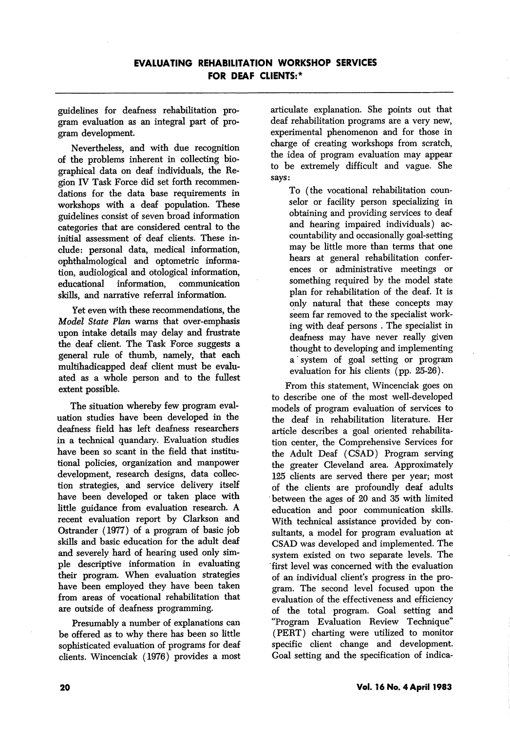guidelines for deafness rehabilitation pro gram evaluation as an integral part of pro gram development.

Nevertheless, and with due recognition of the problems inherent in collecting bio graphical data on deaf individuals, the Re gion IV Task Force did set forth recommen dations for the data base requirements in workshops with a deaf population. These guidehnes consist of seven broad information categories that are considered central to the initial assessment of deaf clients. These in clude: personal data, medical information, ophthalmological and optometric informa tion, audiological and otological information, educational information, communication skills, and narrative referral information.

Yet even with these recommendations, the Model State Plan warns that over-emphasis upon intake details may delay and frustrate the deaf client. The Task Force suggests a general rule of thumb, namely, that each multihadicapped deaf client must be evalu ated as a whole person and to the fullest extent possible.

The situation whereby few program eval uation studies have been developed in the deafness field has left deafness researchers in a technical quandary. Evaluation studies have been so scant in the field that institu tional policies, organization and manpower development, research designs, data collec tion strategies, and service delivery itself have been developed or taken place with little guidance from evaluation research. A recent evaluation report by Clarkson and Ostrander (1977) of a program of basic job skills and basic education for the adult deaf and severely hard of hearing used only sim ple descriptive information in evaluating their program. When evaluation strategies have been employed they have been taken from areas of vocational rehabilitation that are outside of deafness programming.

Presumably a number of explanations can be offered as to why there has been so little sophisticated evaluation of programs for deaf clients. Wincenciak (1976) provides a most articulate explanation. She points out that deaf rehabilitation programs are a very new, experimental phenomenon and for those in charge of creating workshops from scratch, the idea of program evaluation may appear to be extremely difficult and vague. She says:

To (the vocational rehabilitation coun selor or facility person specializing in obtaining and providing services to deaf and hearing impaired individuals) ac countability and occasionally goal-setting may be little more than terms that one hears at general rehabilitation confer ences or administrative meetings or something required by the model state plan for rehabilitation of the deaf. It is only natural that these concepts may seem far removed to the specialist work ing with deaf persons . The specialist in deafness may have never really given thought to developing and implementing a' system of goal setting or program evaluation for his clients (pp. 25-26).

From this statement, Wincenciak goes on to describe one of the most well-developed models of program evaluation of services to the deaf in rehabilitation literature. Her article describes a goal oriented rehabihtation center, the Comprehensive Services for the Adult Deaf (CSAD) Program serving the greater Cleveland area. Approximately 125 clients are served there per year; most of the clients are profoundly deaf adults between the ages of 20 and 35 with limited education and poor communication skills. With technical assistance provided by con sultants, a model for program evaluation at CSAD was developed and implemented. The system existed on two separate levels. The first level was concerned with the evaluation of an individual client's progress in the pro gram. The second level focused upon the evaluation of the effectiveness and efficiency of the total program. Goal setting and "Program Evaluation Review Technique" (PERT) charting were utilized to monitor specific client change and development. Goal setting and the specification of indica-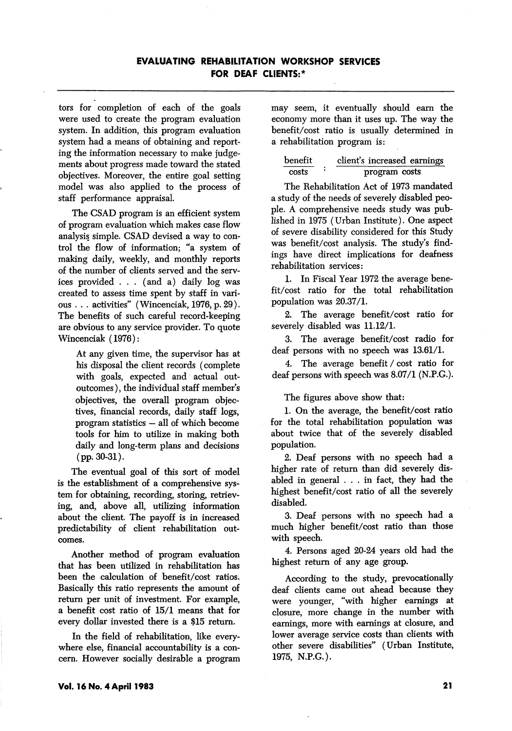## EVALUATING REHABILITATION WORKSHOP SERVICES FOR DEAF CLIENTS:\*

tors for completion of each of the goals were used to create the program evaluation system. In addition, this program evaluation system had a means of obtaining and report ing the information necessary to make judge ments about progress made toward the stated objectives. Moreover, the entire goal setting model was also applied to the process of staff performance appraisal.

The CSAD program is an efficient system of program evaluation which makes case flow analysis simple. CSAD devised a way to con trol the flow of information; "a system of making daily, weekly, and monthly reports of the number of clients served and the serv ices provided . . . (and a) daily log was created to assess time spent by staff in vari ous . . . activities'' (Wincenciak, 1976, p. 29). The benefits of such careful record-keeping are obvious to any service provider. To quote Wincenciak (1976):

At any given time, the supervisor has at his disposal the client records (complete with goals, expected and actual outoutcomes ), the individual staff member's objectives, the overall program objec tives, financial records, daily staff logs, program statistics — all of which become tools for him to utilize in making both daily and long-term plans and decisions (pp. 30-31).

The eventual goal of this sort of model is the establishment of a comprehensive sys tem for obtaining, recording, storing, retriev ing, and, above all, utilizing information about the client. The payoff is in increased predictability of client rehabilitation out comes.

Another method of program evaluation that has been utilized in rehabilitation has been the calculation of benefit/cost ratios. Basically this ratio represents the amount of return per unit of investment. For example, a benefit cost ratio of 15/1 means that for every dollar invested there is a \$15 return.

In the field of rehabilitation, like every where else, financial accountability is a con cern. However socially desirable a program may seem, it eventually should earn the economy more than it uses up. The way the benefit/cost ratio is usually determined in a rehabilitation program is:

| benefit | client's increased earnings |
|---------|-----------------------------|
| costs   | program costs               |

The Rehabilitation Act of 1973 mandated a study of the needs of severely disabled peo ple. A comprehensive needs study was pub lished in 1975 (Urban Institute). One aspect of severe disability considered for this Study was benefit/cost analysis. The study's find ings have direct implications for deafness rehabilitation services:

1. In Fiscal Year 1972 the average bene fit/cost ratio for the total rehabilitation population was 20.37/1.

2. The average benefit/cost ratio for severely disabled was 11.12/1.

3. The average benefit/cost radio for deaf persons with no speech was 13.61/1.

4. The average benefit / cost ratio for deaf persons with speech was 8.07/1 (N.P.G.).

The figures above show that:

1. On the average, the benefit/cost ratio for the total rehabilitation population was about twice that of the severely disabled population.

2. Deaf persons with no speech had a higher rate of return than did severely dis abled in general . .. in fact, they had the highest benefit/cost ratio of all the severely disabled.

3. Deaf persons with no speech had a much higher benefit/cost ratio than those with speech.

4. Persons aged 20-24 years old had the highest return of any age group.

According to the study, prevocationally deaf clients came out ahead because they were younger, "with higher earnings at closure, more change in the number with earnings, more with earnings at closure, and lower average service costs than clients with other severe disabilities" (Urban Institute, 1975, N.P.G.).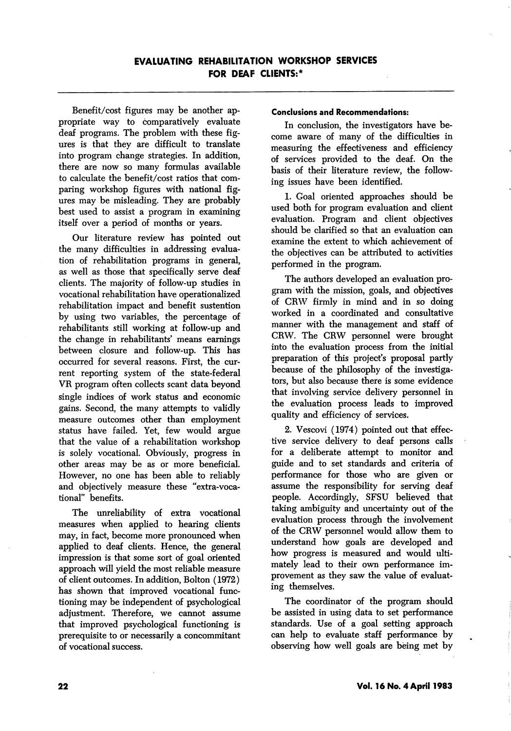Benefit/cost figures may be another ap propriate way to comparatively evaluate deaf programs. The problem with these fig ures is that they are difficult to translate into program change strategies. In addition, there are now so many formulas available to calculate the benefit/cost ratios that com paring workshop figures with national fig ures may be misleading. They are probably best used to assist a program in examining itself over a period of months or years.

Our literature review has pointed out the many difficulties in addressing evalua tion of rehabilitation programs in general, as well as those that specifically serve deaf clients. The majority of follow-up studies in vocational rehabilitation have operationalized rehabilitation impact and benefit sustention by using two variables, the percentage of rehabilitants still working at follow-up and the change in rehabilitants' means earnings between closure and follow-up. This has occurred for several reasons. First, the cur rent reporting system of the state-federal VR program often collects scant data beyond single indices of work status and economic gains. Second, the many attempts to validly measure outcomes other than employment status have failed. Yet, few would argue that the value of a rehabilitation workshop is solely vocational. Obviously, progress in other areas may be as or more beneficial. However, no one has been able to reliably and objectively measure these "extra-voca tional" benefits.

The unreliability of extra vocational measures when applied to hearing clients may, in fact, become more pronounced when applied to deaf clients. Hence, the general impression is that some sort of goal oriented approach will yield the most reliable measure of client outcomes. In addition, Bolton (1972) has shown that improved vocational func tioning may be independent of psychological adjustment. Therefore, we cannot assume that improved psychological functioning is prerequisite to or necessarily a concommitant of vocational success.

#### Conclusions and Recommendations:

In conclusion, the investigators have be come aware of many of the difficulties in measuring the effectiveness and efficiency of services provided to the deaf. On the basis of their literature review, the follow ing issues have been identified.

1. Goal oriented approaches should be used both for program evaluation and client evaluation. Program and client objectives should be clarified so that an evaluation can examine the extent to which achievement of the objectives can be attributed to activities performed in the program.

The authors developed an evaluation pro gram with the mission, goals, and objectives of CRW firmly in mind and in so doing worked in a coordinated and consultative manner with the management and staff of CRW. The CRW personnel were brought into the evaluation process from the initial preparation of this project's proposal partly because of the philosophy of the investiga tors, but also because there is some evidence that involving service delivery personnel in the evaluation process leads to improved quality and efficiency of services.

2. Vescovi (1974) pointed out that effec tive service delivery to deaf persons calls for a deliberate attempt to monitor and guide and to set standards and criteria of performance for those who are given or assume the responsibility for serving deaf people. Accordingly, SFSU believed that taking ambiguity and uncertainty out of the evaluation process through the involvement of the CRW personnel would allow them to understand how goals are developed and how progress is measured and would ulti mately lead to their own performance im provement as they saw the value of evaluat ing themselves.

The coordinator of the program should be assisted in using data to set performance standards. Use of a goal setting approach can help to evaluate staff performance by observing how well goals are being met by